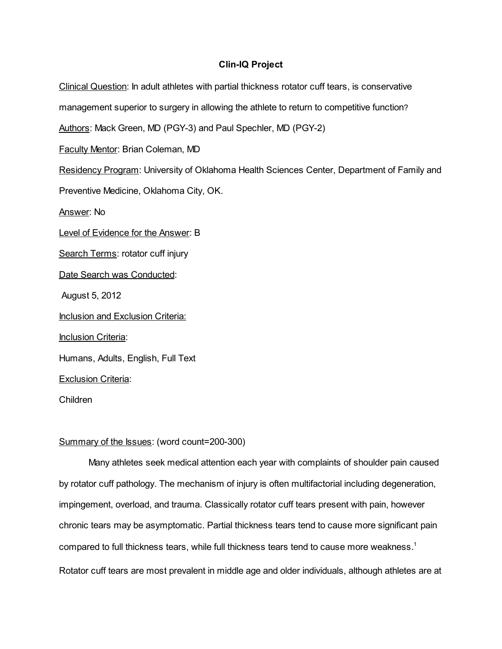## Clin-IQ Project

Clinical Question: In adult athletes with partial thickness rotator cuff tears, is conservative

management superior to surgery in allowing the athlete to return to competitive function?

Authors: Mack Green, MD (PGY-3) and Paul Spechler, MD (PGY-2)

Faculty Mentor: Brian Coleman, MD

Residency Program: University of Oklahoma Health Sciences Center, Department of Family and

Preventive Medicine, Oklahoma City, OK.

Answer: No

Level of Evidence for the Answer: B

Search Terms: rotator cuff injury

Date Search was Conducted:

August 5, 2012

Inclusion and Exclusion Criteria:

**Inclusion Criteria:** 

Humans, Adults, English, Full Text

Exclusion Criteria:

Children

#### Summary of the Issues: (word count=200-300)

Many athletes seek medical attention each year with complaints of shoulder pain caused by rotator cuff pathology. The mechanism of injury is often multifactorial including degeneration, impingement, overload, and trauma. Classically rotator cuff tears present with pain, however chronic tears may be asymptomatic. Partial thickness tears tend to cause more significant pain compared to full thickness tears, while full thickness tears tend to cause more weakness. 1 Rotator cuff tears are most prevalent in middle age and older individuals, although athletes are at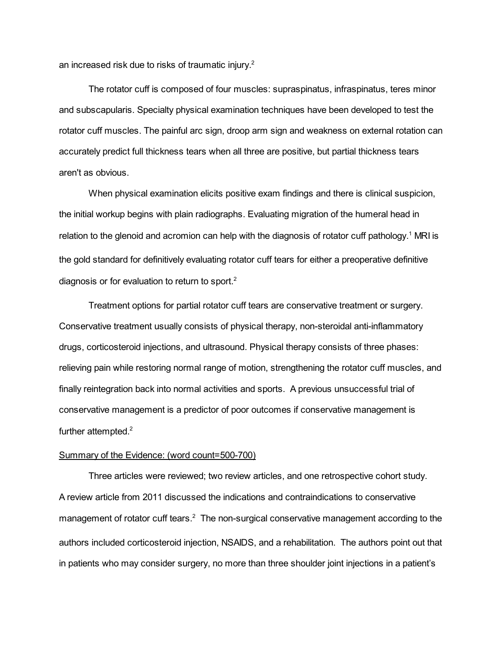an increased risk due to risks of traumatic injury.<sup>2</sup>

The rotator cuff is composed of four muscles: supraspinatus, infraspinatus, teres minor and subscapularis. Specialty physical examination techniques have been developed to test the rotator cuff muscles. The painful arc sign, droop arm sign and weakness on external rotation can accurately predict full thickness tears when all three are positive, but partial thickness tears aren't as obvious.

When physical examination elicits positive exam findings and there is clinical suspicion, the initial workup begins with plain radiographs. Evaluating migration of the humeral head in relation to the glenoid and acromion can help with the diagnosis of rotator cuff pathology.<sup>1</sup> MRI is the gold standard for definitively evaluating rotator cuff tears for either a preoperative definitive diagnosis or for evaluation to return to sport.<sup>2</sup>

Treatment options for partial rotator cuff tears are conservative treatment or surgery. Conservative treatment usually consists of physical therapy, non-steroidal anti-inflammatory drugs, corticosteroid injections, and ultrasound. Physical therapy consists of three phases: relieving pain while restoring normal range of motion, strengthening the rotator cuff muscles, and finally reintegration back into normal activities and sports. A previous unsuccessful trial of conservative management is a predictor of poor outcomes if conservative management is further attempted.<sup>2</sup>

#### Summary of the Evidence: (word count=500-700)

Three articles were reviewed; two review articles, and one retrospective cohort study. A review article from 2011 discussed the indications and contraindications to conservative management of rotator cuff tears.<sup>2</sup> The non-surgical conservative management according to the authors included corticosteroid injection, NSAIDS, and a rehabilitation. The authors point out that in patients who may consider surgery, no more than three shoulder joint injections in a patient's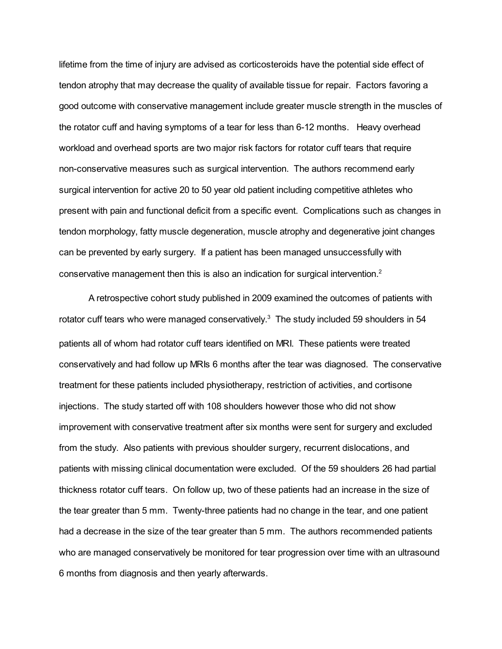lifetime from the time of injury are advised as corticosteroids have the potential side effect of tendon atrophy that may decrease the quality of available tissue for repair. Factors favoring a good outcome with conservative management include greater muscle strength in the muscles of the rotator cuff and having symptoms of a tear for less than 6-12 months. Heavy overhead workload and overhead sports are two major risk factors for rotator cuff tears that require non-conservative measures such as surgical intervention. The authors recommend early surgical intervention for active 20 to 50 year old patient including competitive athletes who present with pain and functional deficit from a specific event. Complications such as changes in tendon morphology, fatty muscle degeneration, muscle atrophy and degenerative joint changes can be prevented by early surgery. If a patient has been managed unsuccessfully with conservative management then this is also an indication for surgical intervention.<sup>2</sup>

A retrospective cohort study published in 2009 examined the outcomes of patients with rotator cuff tears who were managed conservatively.<sup>3</sup> The study included 59 shoulders in 54 patients all of whom had rotator cuff tears identified on MRI. These patients were treated conservatively and had follow up MRIs 6 months after the tear was diagnosed. The conservative treatment for these patients included physiotherapy, restriction of activities, and cortisone injections. The study started off with 108 shoulders however those who did not show improvement with conservative treatment after six months were sent for surgery and excluded from the study. Also patients with previous shoulder surgery, recurrent dislocations, and patients with missing clinical documentation were excluded. Of the 59 shoulders 26 had partial thickness rotator cuff tears. On follow up, two of these patients had an increase in the size of the tear greater than 5 mm. Twenty-three patients had no change in the tear, and one patient had a decrease in the size of the tear greater than 5 mm. The authors recommended patients who are managed conservatively be monitored for tear progression over time with an ultrasound 6 months from diagnosis and then yearly afterwards.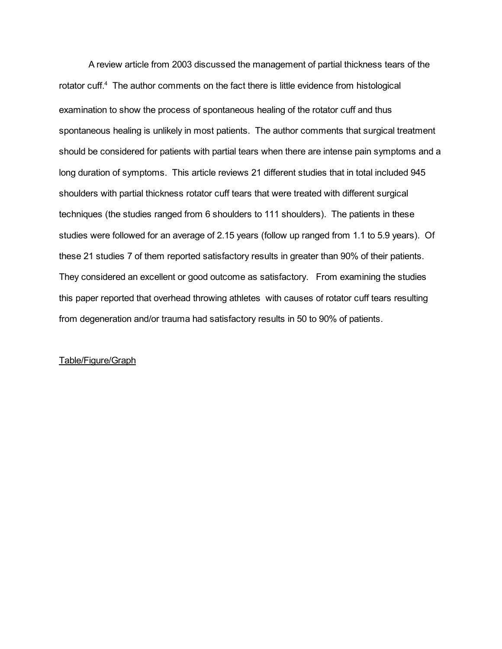A review article from 2003 discussed the management of partial thickness tears of the rotator cuff.<sup>4</sup> The author comments on the fact there is little evidence from histological examination to show the process of spontaneous healing of the rotator cuff and thus spontaneous healing is unlikely in most patients. The author comments that surgical treatment should be considered for patients with partial tears when there are intense pain symptoms and a long duration of symptoms. This article reviews 21 different studies that in total included 945 shoulders with partial thickness rotator cuff tears that were treated with different surgical techniques (the studies ranged from 6 shoulders to 111 shoulders). The patients in these studies were followed for an average of 2.15 years (follow up ranged from 1.1 to 5.9 years). Of these 21 studies 7 of them reported satisfactory results in greater than 90% of their patients. They considered an excellent or good outcome as satisfactory. From examining the studies this paper reported that overhead throwing athletes with causes of rotator cuff tears resulting from degeneration and/or trauma had satisfactory results in 50 to 90% of patients.

## Table/Figure/Graph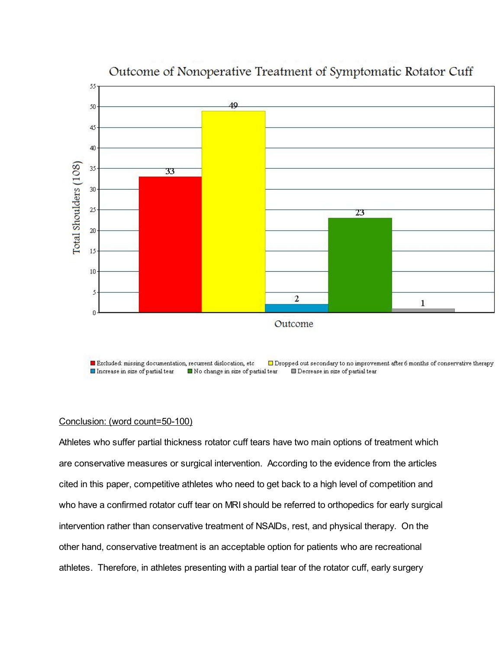

# Outcome of Nonoperative Treatment of Symptomatic Rotator Cuff

 $\Box$  Dropped out secondary to no improvement after 6 months of conservative therapy Excluded: missing documentation, recurrent dislocation, etc Increase in size of partial tear INo change in size of partial tear Decrease in size of partial tear

## Conclusion: (word count=50-100)

Athletes who suffer partial thickness rotator cuff tears have two main options of treatment which are conservative measures or surgical intervention. According to the evidence from the articles cited in this paper, competitive athletes who need to get back to a high level of competition and who have a confirmed rotator cuff tear on MRI should be referred to orthopedics for early surgical intervention rather than conservative treatment of NSAIDs, rest, and physical therapy. On the other hand, conservative treatment is an acceptable option for patients who are recreational athletes. Therefore, in athletes presenting with a partial tear of the rotator cuff, early surgery